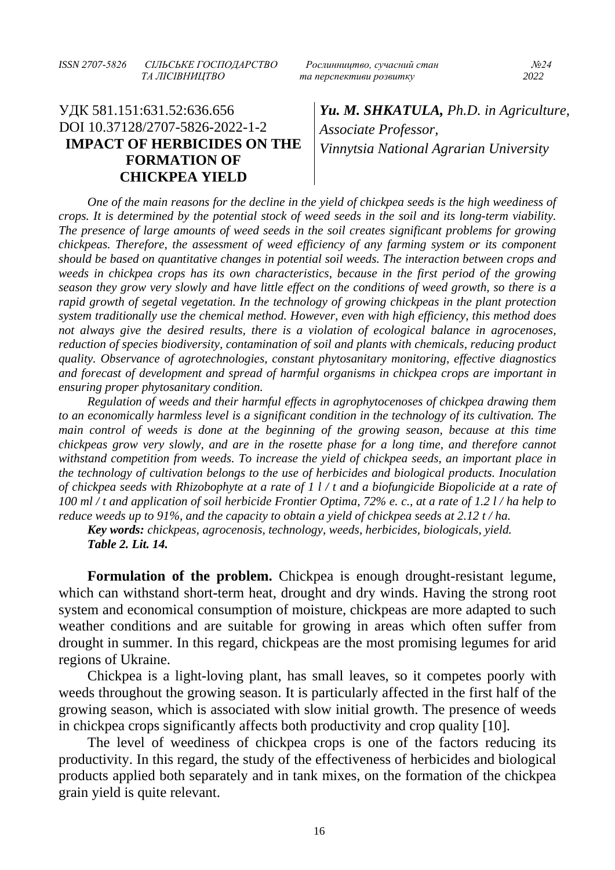*ISSN 2707-5826 СІЛЬСЬКЕ ГОСПОДАРСТВО Рослинництво, сучасний стан №24*

## УДК 581.151:631.52:636.656 DOI 10.37128/2707-5826-2022-1-2 **IMPACT OF HERBICIDES ON THE FORMATION OF CHICKPEA YIELD**

 *ТА ЛІСІВНИЦТВО та перспективи розвитку 2022*

*Yu. M. SHKATULA, Ph.D. in Agriculture, Associate Professor, Vinnytsia National Agrarian University*

*One of the main reasons for the decline in the yield of chickpea seeds is the high weediness of crops. It is determined by the potential stock of weed seeds in the soil and its long-term viability. The presence of large amounts of weed seeds in the soil creates significant problems for growing chickpeas. Therefore, the assessment of weed efficiency of any farming system or its component should be based on quantitative changes in potential soil weeds. The interaction between crops and weeds in chickpea crops has its own characteristics, because in the first period of the growing season they grow very slowly and have little effect on the conditions of weed growth, so there is a rapid growth of segetal vegetation. In the technology of growing chickpeas in the plant protection system traditionally use the chemical method. However, even with high efficiency, this method does not always give the desired results, there is a violation of ecological balance in agrocenoses, reduction of species biodiversity, contamination of soil and plants with chemicals, reducing product quality. Observance of agrotechnologies, constant phytosanitary monitoring, effective diagnostics and forecast of development and spread of harmful organisms in chickpea crops are important in ensuring proper phytosanitary condition.*

*Regulation of weeds and their harmful effects in agrophytocenoses of chickpea drawing them to an economically harmless level is a significant condition in the technology of its cultivation. The main control of weeds is done at the beginning of the growing season, because at this time chickpeas grow very slowly, and are in the rosette phase for a long time, and therefore cannot withstand competition from weeds. To increase the yield of chickpea seeds, an important place in the technology of cultivation belongs to the use of herbicides and biological products. Inoculation of chickpea seeds with Rhizobophyte at a rate of 1 l / t and a biofungicide Biopolicide at a rate of 100 ml / t and application of soil herbicide Frontier Optima, 72% e. c., at a rate of 1.2 l / ha help to reduce weeds up to 91%, and the capacity to obtain a yield of chickpea seeds at 2.12 t / ha.*

*Key words: chickpeas, agrocenosis, technology, weeds, herbicides, biologicals, yield. Table 2. Lit. 14.*

**Formulation of the problem.** Chickpea is enough drought-resistant legume, which can withstand short-term heat, drought and dry winds. Having the strong root system and economical consumption of moisture, chickpeas are more adapted to such weather conditions and are suitable for growing in areas which often suffer from drought in summer. In this regard, chickpeas are the most promising legumes for arid regions of Ukraine.

Chickpea is a light-loving plant, has small leaves, so it competes poorly with weeds throughout the growing season. It is particularly affected in the first half of the growing season, which is associated with slow initial growth. The presence of weeds in chickpea crops significantly affects both productivity and crop quality [10].

The level of weediness of chickpea crops is one of the factors reducing its productivity. In this regard, the study of the effectiveness of herbicides and biological products applied both separately and in tank mixes, on the formation of the chickpea grain yield is quite relevant.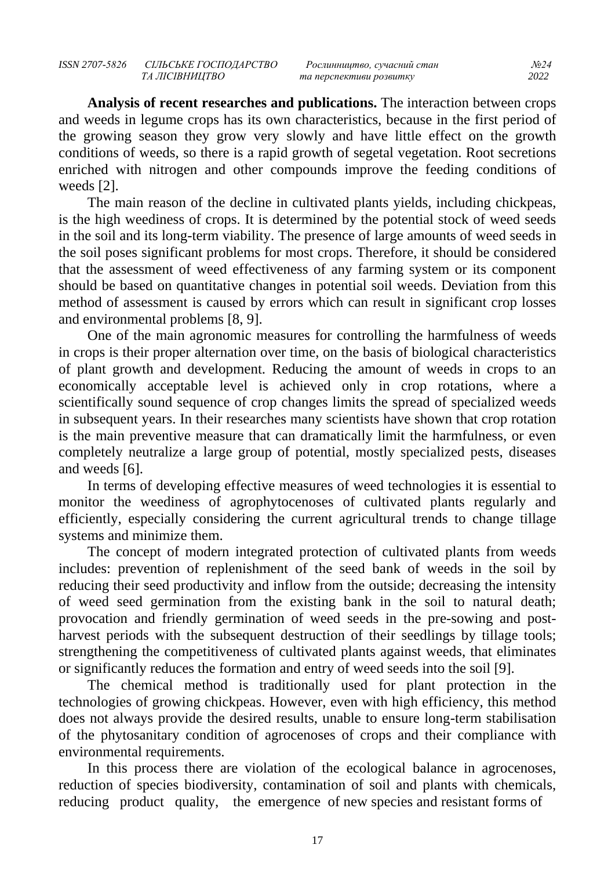**Analysis of recent researches and publications.** The interaction between crops and weeds in legume crops has its own characteristics, because in the first period of the growing season they grow very slowly and have little effect on the growth conditions of weeds, so there is a rapid growth of segetal vegetation. Root secretions enriched with nitrogen and other compounds improve the feeding conditions of weeds [2].

The main reason of the decline in cultivated plants yields, including chickpeas, is the high weediness of crops. It is determined by the potential stock of weed seeds in the soil and its long-term viability. The presence of large amounts of weed seeds in the soil poses significant problems for most crops. Therefore, it should be considered that the assessment of weed effectiveness of any farming system or its component should be based on quantitative changes in potential soil weeds. Deviation from this method of assessment is caused by errors which can result in significant crop losses and environmental problems [8, 9].

One of the main agronomic measures for controlling the harmfulness of weeds in crops is their proper alternation over time, on the basis of biological characteristics of plant growth and development. Reducing the amount of weeds in crops to an economically acceptable level is achieved only in crop rotations, where a scientifically sound sequence of crop changes limits the spread of specialized weeds in subsequent years. In their researches many scientists have shown that crop rotation is the main preventive measure that can dramatically limit the harmfulness, or even completely neutralize a large group of potential, mostly specialized pests, diseases and weeds [6].

In terms of developing effective measures of weed technologies it is essential to monitor the weediness of agrophytocenoses of cultivated plants regularly and efficiently, especially considering the current agricultural trends to change tillage systems and minimize them.

The concept of modern integrated protection of cultivated plants from weeds includes: prevention of replenishment of the seed bank of weeds in the soil by reducing their seed productivity and inflow from the outside; decreasing the intensity of weed seed germination from the existing bank in the soil to natural death; provocation and friendly germination of weed seeds in the pre-sowing and postharvest periods with the subsequent destruction of their seedlings by tillage tools; strengthening the competitiveness of cultivated plants against weeds, that eliminates or significantly reduces the formation and entry of weed seeds into the soil [9].

The chemical method is traditionally used for plant protection in the technologies of growing chickpeas. However, even with high efficiency, this method does not always provide the desired results, unable to ensure long-term stabilisation of the phytosanitary condition of agrocenoses of crops and their compliance with environmental requirements.

In this process there are violation of the ecological balance in agrocenoses, reduction of species biodiversity, contamination of soil and plants with chemicals, reducing product quality, the emergence of new species and resistant forms of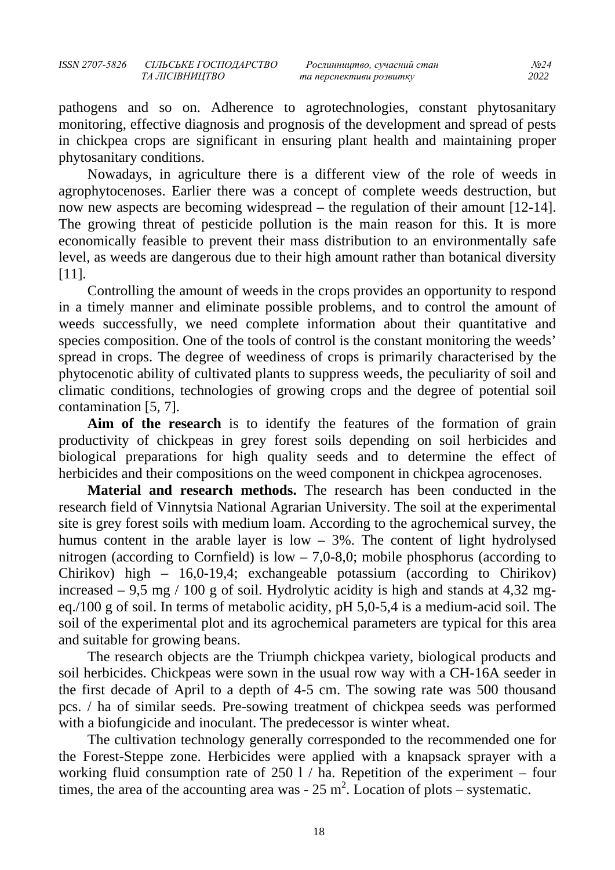pathogens and so on. Adherence to agrotechnologies, constant phytosanitary monitoring, effective diagnosis and prognosis of the development and spread of pests in chickpea crops are significant in ensuring plant health and maintaining proper phytosanitary conditions.

Nowadays, in agriculture there is a different view of the role of weeds in agrophytocenoses. Earlier there was a concept of complete weeds destruction, but now new aspects are becoming widespread – the regulation of their amount [12-14]. The growing threat of pesticide pollution is the main reason for this. It is more economically feasible to prevent their mass distribution to an environmentally safe level, as weeds are dangerous due to their high amount rather than botanical diversity [11].

Controlling the amount of weeds in the crops provides an opportunity to respond in a timely manner and eliminate possible problems, and to control the amount of weeds successfully, we need complete information about their quantitative and species composition. One of the tools of control is the constant monitoring the weeds' spread in crops. The degree of weediness of crops is primarily characterised by the phytocenotic ability of cultivated plants to suppress weeds, the peculiarity of soil and climatic conditions, technologies of growing crops and the degree of potential soil contamination [5, 7].

**Aim of the research** is to identify the features of the formation of grain productivity of chickpeas in grey forest soils depending on soil herbicides and biological preparations for high quality seeds and to determine the effect of herbicides and their compositions on the weed component in chickpea agrocenoses.

**Material and research methods.** The research has been conducted in the research field of Vinnytsia National Agrarian University. The soil at the experimental site is grey forest soils with medium loam. According to the agrochemical survey, the humus content in the arable layer is low  $-3\%$ . The content of light hydrolysed nitrogen (according to Cornfield) is  $low - 7,0-8,0;$  mobile phosphorus (according to Chirikov) high – 16,0-19,4; exchangeable potassium (according to Chirikov) increased  $-9.5$  mg / 100 g of soil. Hydrolytic acidity is high and stands at 4,32 mgeq./100 g of soil. In terms of metabolic acidity, pH 5,0-5,4 is a medium-acid soil. The soil of the experimental plot and its agrochemical parameters are typical for this area and suitable for growing beans.

The research objects are the Triumph chickpea variety, biological products and soil herbicides. Chickpeas were sown in the usual row way with a CH-16A seeder in the first decade of April to a depth of 4-5 cm. The sowing rate was 500 thousand pcs. / ha of similar seeds. Pre-sowing treatment of chickpea seeds was performed with a biofungicide and inoculant. The predecessor is winter wheat.

The cultivation technology generally corresponded to the recommended one for the Forest-Steppe zone. Herbicides were applied with a knapsack sprayer with a working fluid consumption rate of  $250 \frac{1}{h}$  ha. Repetition of the experiment – four times, the area of the accounting area was -  $25 \text{ m}^2$ . Location of plots – systematic.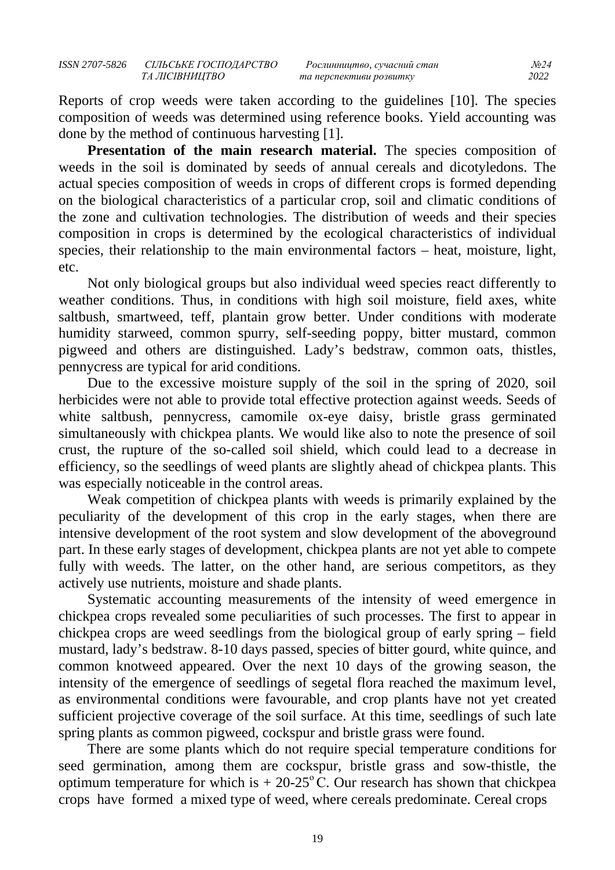Reports of crop weeds were taken according to the guidelines [10]. The species composition of weeds was determined using reference books. Yield accounting was done by the method of continuous harvesting [1].

**Presentation of the main research material.** The species composition of weeds in the soil is dominated by seeds of annual cereals and dicotyledons. The actual species composition of weeds in crops of different crops is formed depending on the biological characteristics of a particular crop, soil and climatic conditions of the zone and cultivation technologies. The distribution of weeds and their species composition in crops is determined by the ecological characteristics of individual species, their relationship to the main environmental factors – heat, moisture, light, etc.

Not only biological groups but also individual weed species react differently to weather conditions. Thus, in conditions with high soil moisture, field axes, white saltbush, smartweed, teff, plantain grow better. Under conditions with moderate humidity starweed, common spurry, self-seeding poppy, bitter mustard, common pigweed and others are distinguished. Lady's bedstraw, common oats, thistles, pennycress are typical for arid conditions.

Due to the excessive moisture supply of the soil in the spring of 2020, soil herbicides were not able to provide total effective protection against weeds. Seeds of white saltbush, pennycress, camomile ox-eye daisy, bristle grass germinated simultaneously with chickpea plants. We would like also to note the presence of soil crust, the rupture of the so-called soil shield, which could lead to a decrease in efficiency, so the seedlings of weed plants are slightly ahead of chickpea plants. This was especially noticeable in the control areas.

Weak competition of chickpea plants with weeds is primarily explained by the peculiarity of the development of this crop in the early stages, when there are intensive development of the root system and slow development of the aboveground part. In these early stages of development, chickpea plants are not yet able to compete fully with weeds. The latter, on the other hand, are serious competitors, as they actively use nutrients, moisture and shade plants.

Systematic accounting measurements of the intensity of weed emergence in chickpea crops revealed some peculiarities of such processes. The first to appear in chickpea crops are weed seedlings from the biological group of early spring – field mustard, lady's bedstraw. 8-10 days passed, species of bitter gourd, white quince, and common knotweed appeared. Over the next 10 days of the growing season, the intensity of the emergence of seedlings of segetal flora reached the maximum level, as environmental conditions were favourable, and crop plants have not yet created sufficient projective coverage of the soil surface. At this time, seedlings of such late spring plants as common pigweed, cockspur and bristle grass were found.

There are some plants which do not require special temperature conditions for seed germination, among them are cockspur, bristle grass and sow-thistle, the optimum temperature for which is  $+ 20-25$ °C. Our research has shown that chickpea crops have formed a mixed type of weed, where cereals predominate. Cereal crops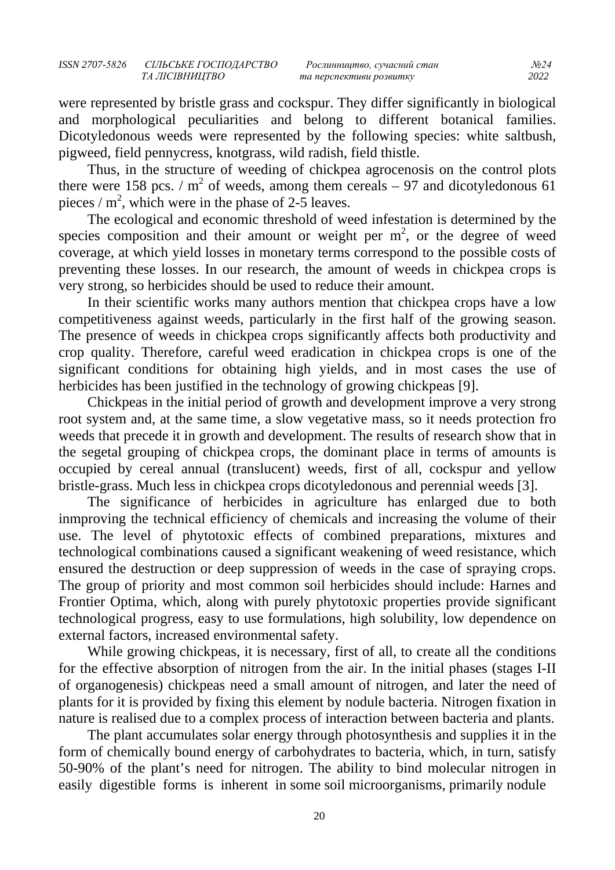were represented by bristle grass and cockspur. They differ significantly in biological and morphological peculiarities and belong to different botanical families. Dicotyledonous weeds were represented by the following species: white saltbush, pigweed, field pennycress, knotgrass, wild radish, field thistle.

Thus, in the structure of weeding of chickpea agrocenosis on the control plots there were 158 pcs. /  $m^2$  of weeds, among them cereals – 97 and dicotyledonous 61 pieces /  $m^2$ , which were in the phase of 2-5 leaves.

The ecological and economic threshold of weed infestation is determined by the species composition and their amount or weight per  $m<sup>2</sup>$ , or the degree of weed coverage, at which yield losses in monetary terms correspond to the possible costs of preventing these losses. In our research, the amount of weeds in chickpea crops is very strong, so herbicides should be used to reduce their amount.

In their scientific works many authors mention that chickpea crops have a low competitiveness against weeds, particularly in the first half of the growing season. The presence of weeds in chickpea crops significantly affects both productivity and crop quality. Therefore, careful weed eradication in chickpea crops is one of the significant conditions for obtaining high yields, and in most cases the use of herbicides has been justified in the technology of growing chickpeas [9].

Chickpeas in the initial period of growth and development improve a very strong root system and, at the same time, a slow vegetative mass, so it needs protection fro weeds that precede it in growth and development. The results of research show that in the segetal grouping of chickpea crops, the dominant place in terms of amounts is occupied by cereal annual (translucent) weeds, first of all, cockspur and yellow bristle-grass. Much less in chickpea crops dicotyledonous and perennial weeds [3].

The significance of herbicides in agriculture has enlarged due to both inmproving the technical efficiency of chemicals and increasing the volume of their use. The level of phytotoxic effects of combined preparations, mixtures and technological combinations caused a significant weakening of weed resistance, which ensured the destruction or deep suppression of weeds in the case of spraying crops. The group of priority and most common soil herbicides should include: Harnes and Frontier Optima, which, along with purely phytotoxic properties provide significant technological progress, easy to use formulations, high solubility, low dependence on external factors, increased environmental safety.

While growing chickpeas, it is necessary, first of all, to create all the conditions for the effective absorption of nitrogen from the air. In the initial phases (stages I-II of organogenesis) chickpeas need a small amount of nitrogen, and later the need of plants for it is provided by fixing this element by nodule bacteria. Nitrogen fixation in nature is realised due to a complex process of interaction between bacteria and plants.

The plant accumulates solar energy through photosynthesis and supplies it in the form of chemically bound energy of carbohydrates to bacteria, which, in turn, satisfy 50-90% of the plant's need for nitrogen. The ability to bind molecular nitrogen in easily digestible forms is inherent in some soil microorganisms, primarily nodule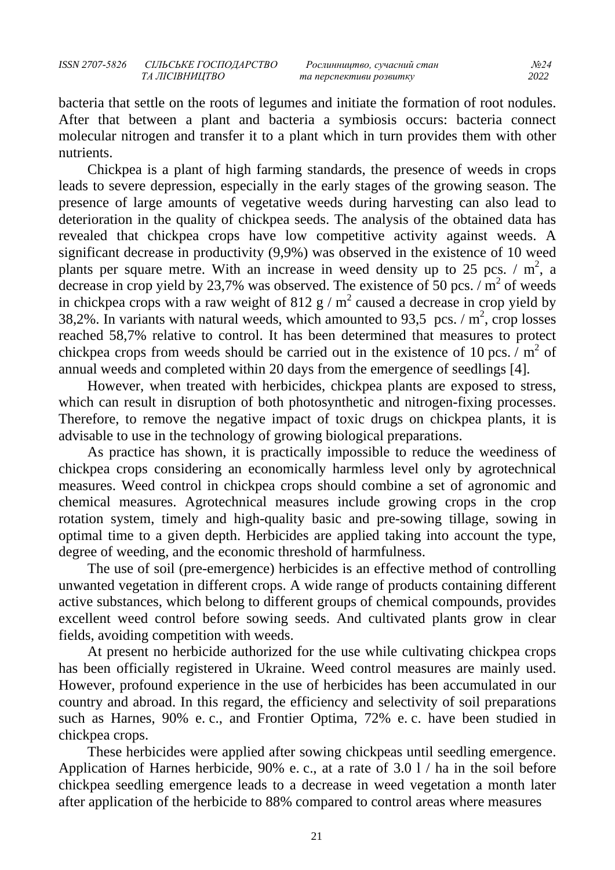bacteria that settle on the roots of legumes and initiate the formation of root nodules. After that between a plant and bacteria a symbiosis occurs: bacteria connect molecular nitrogen and transfer it to a plant which in turn provides them with other nutrients.

Chickpea is a plant of high farming standards, the presence of weeds in crops leads to severe depression, especially in the early stages of the growing season. The presence of large amounts of vegetative weeds during harvesting can also lead to deterioration in the quality of chickpea seeds. The analysis of the obtained data has revealed that chickpea crops have low competitive activity against weeds. A significant decrease in productivity (9,9%) was observed in the existence of 10 weed plants per square metre. With an increase in weed density up to 25 pcs.  $/m^2$ , a decrease in crop yield by 23,7% was observed. The existence of 50 pcs.  $/m^2$  of weeds in chickpea crops with a raw weight of 812 g /  $m^2$  caused a decrease in crop yield by 38,2%. In variants with natural weeds, which amounted to 93,5 pcs.  $/m^2$ , crop losses reached 58,7% relative to control. It has been determined that measures to protect chickpea crops from weeds should be carried out in the existence of 10 pcs.  $/m<sup>2</sup>$  of annual weeds and completed within 20 days from the emergence of seedlings [4].

However, when treated with herbicides, chickpea plants are exposed to stress, which can result in disruption of both photosynthetic and nitrogen-fixing processes. Therefore, to remove the negative impact of toxic drugs on chickpea plants, it is advisable to use in the technology of growing biological preparations.

As practice has shown, it is practically impossible to reduce the weediness of chickpea crops considering an economically harmless level only by agrotechnical measures. Weed control in chickpea crops should combine a set of agronomic and chemical measures. Agrotechnical measures include growing crops in the crop rotation system, timely and high-quality basic and pre-sowing tillage, sowing in optimal time to a given depth. Herbicides are applied taking into account the type, degree of weeding, and the economic threshold of harmfulness.

The use of soil (pre-emergence) herbicides is an effective method of controlling unwanted vegetation in different crops. A wide range of products containing different active substances, which belong to different groups of chemical compounds, provides excellent weed control before sowing seeds. And cultivated plants grow in clear fields, avoiding competition with weeds.

At present no herbicide authorized for the use while cultivating chickpea crops has been officially registered in Ukraine. Weed control measures are mainly used. However, profound experience in the use of herbicides has been accumulated in our country and abroad. In this regard, the efficiency and selectivity of soil preparations such as Harnes, 90% e. c., and Frontier Optima, 72% e. c. have been studied in chickpea crops.

These herbicides were applied after sowing chickpeas until seedling emergence. Application of Harnes herbicide, 90% e. c., at a rate of 3.0 l / ha in the soil before chickpea seedling emergence leads to a decrease in weed vegetation a month later after application of the herbicide to 88% compared to control areas where measures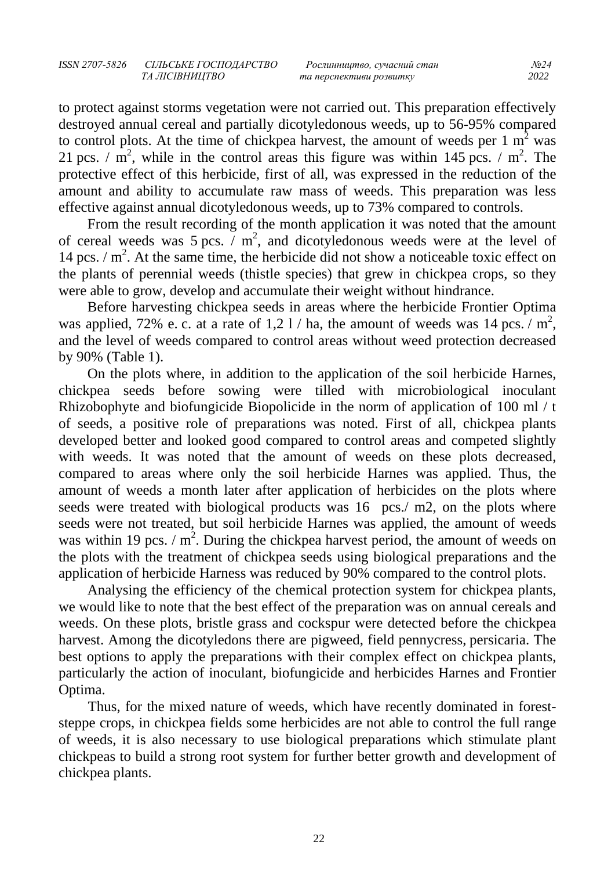to protect against storms vegetation were not carried out. This preparation effectively destroyed annual cereal and partially dicotyledonous weeds, up to 56-95% compared to control plots. At the time of chickpea harvest, the amount of weeds per  $1 \text{ m}^2$  was 21 pcs.  $\sqrt{m^2}$ , while in the control areas this figure was within 145 pcs.  $\sqrt{m^2}$ . The protective effect of this herbicide, first of all, was expressed in the reduction of the amount and ability to accumulate raw mass of weeds. This preparation was less effective against annual dicotyledonous weeds, up to 73% compared to controls.

From the result recording of the month application it was noted that the amount of cereal weeds was 5 pcs.  $\overline{m}^2$ , and dicotyledonous weeds were at the level of 14 pcs.  $/m<sup>2</sup>$ . At the same time, the herbicide did not show a noticeable toxic effect on the plants of perennial weeds (thistle species) that grew in chickpea crops, so they were able to grow, develop and accumulate their weight without hindrance.

Before harvesting chickpea seeds in areas where the herbicide Frontier Optima was applied, 72% e. c. at a rate of 1,2 l / ha, the amount of weeds was 14 pcs. /  $m^2$ , and the level of weeds compared to control areas without weed protection decreased by 90% (Table 1).

On the plots where, in addition to the application of the soil herbicide Harnes, chickpea seeds before sowing were tilled with microbiological inoculant Rhizobophyte and biofungicide Biopolicide in the norm of application of 100 ml / t of seeds, a positive role of preparations was noted. First of all, chickpea plants developed better and looked good compared to control areas and competed slightly with weeds. It was noted that the amount of weeds on these plots decreased, compared to areas where only the soil herbicide Harnes was applied. Thus, the amount of weeds a month later after application of herbicides on the plots where seeds were treated with biological products was 16 pcs./ m2, on the plots where seeds were not treated, but soil herbicide Harnes was applied, the amount of weeds was within 19 pcs.  $/m^2$ . During the chickpea harvest period, the amount of weeds on the plots with the treatment of chickpea seeds using biological preparations and the application of herbicide Harness was reduced by 90% compared to the control plots.

Analysing the efficiency of the chemical protection system for chickpea plants, we would like to note that the best effect of the preparation was on annual cereals and weeds. On these plots, bristle grass and cockspur were detected before the chickpea harvest. Among the dicotyledons there are pigweed, field pennycress, persicaria. The best options to apply the preparations with their complex effect on chickpea plants, particularly the action of inoculant, biofungicide and herbicides Harnes and Frontier Optima.

Thus, for the mixed nature of weeds, which have recently dominated in foreststeppe crops, in chickpea fields some herbicides are not able to control the full range of weeds, it is also necessary to use biological preparations which stimulate plant chickpeas to build a strong root system for further better growth and development of chickpea plants.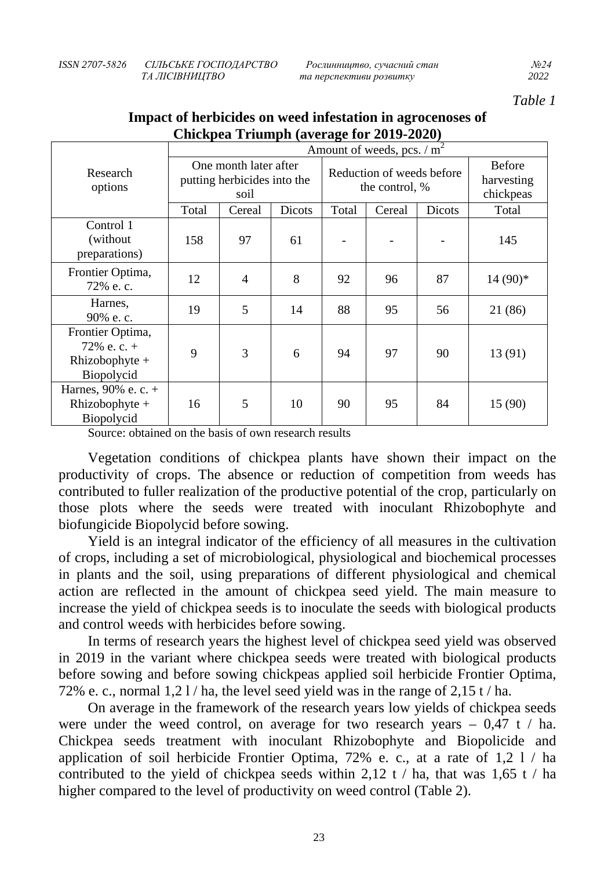| ISSN 2707-5826 | СІЛЬСЬКЕ ГОСПОДАРСТВО | Рослинництво, сучасний стан | No 2. |
|----------------|-----------------------|-----------------------------|-------|
|                | ТА ЛІСІВНИШТВО        | та перспективи розвитку     | 2022  |

*Table 1*

|                                                                                         | Amount of weeds, pcs. $/m^2$                                 |                |                                             |                      |        |                                          |           |
|-----------------------------------------------------------------------------------------|--------------------------------------------------------------|----------------|---------------------------------------------|----------------------|--------|------------------------------------------|-----------|
| Research<br>options                                                                     | One month later after<br>putting herbicides into the<br>soil |                | Reduction of weeds before<br>the control, % |                      |        | <b>Before</b><br>harvesting<br>chickpeas |           |
|                                                                                         | Total                                                        | Cereal         | Dicots                                      | Total                | Cereal | Dicots                                   | Total     |
| Control 1<br>(without)<br>preparations)                                                 | 158                                                          | 97             | 61                                          |                      |        |                                          | 145       |
| Frontier Optima,<br>72% e.c.                                                            | 12                                                           | $\overline{4}$ | 8                                           | 92                   | 96     | 87                                       | $14(90)*$ |
| Harnes,<br>90% e.c.                                                                     | 19                                                           | 5              | 14                                          | 88                   | 95     | 56                                       | 21 (86)   |
| Frontier Optima,<br>$72\%$ e. c. +<br>Rhizobophyte $+$<br>Biopolycid                    | 9                                                            | 3              | 6                                           | 94                   | 97     | 90                                       | 13 (91)   |
| Harnes, $90\%$ e. c. +<br>Rhizobophyte $+$<br>Biopolycid<br>$\sim$ $\sim$ $\sim$ $\sim$ | 16                                                           | 5<br>$\sim$    | 10<br>$\sim$                                | 90<br>$\mathbf{H}$ . | 95     | 84                                       | 15 (90)   |

## **Impact of herbicides on weed infestation in agrocenoses of Chickpea Triumph (average for 2019-2020)**

Source: obtained on the basis of own research results

Vegetation conditions of chickpea plants have shown their impact on the productivity of crops. The absence or reduction of competition from weeds has contributed to fuller realization of the productive potential of the crop, particularly on those plots where the seeds were treated with inoculant Rhizobophyte and biofungicide Biopolycid before sowing.

Yield is an integral indicator of the efficiency of all measures in the cultivation of crops, including a set of microbiological, physiological and biochemical processes in plants and the soil, using preparations of different physiological and chemical action are reflected in the amount of chickpea seed yield. The main measure to increase the yield of chickpea seeds is to inoculate the seeds with biological products and control weeds with herbicides before sowing.

In terms of research years the highest level of chickpea seed yield was observed in 2019 in the variant where chickpea seeds were treated with biological products before sowing and before sowing chickpeas applied soil herbicide Frontier Optima, 72% e. c., normal  $1,21/$  ha, the level seed yield was in the range of  $2,15$  t/ha.

On average in the framework of the research years low yields of chickpea seeds were under the weed control, on average for two research years  $-0.47$  t / ha. Chickpea seeds treatment with inoculant Rhizobophyte and Biopolicide and application of soil herbicide Frontier Optima, 72% e. c., at a rate of 1,2 l / ha contributed to the yield of chickpea seeds within 2.12 t / ha, that was 1.65 t / ha higher compared to the level of productivity on weed control (Table 2).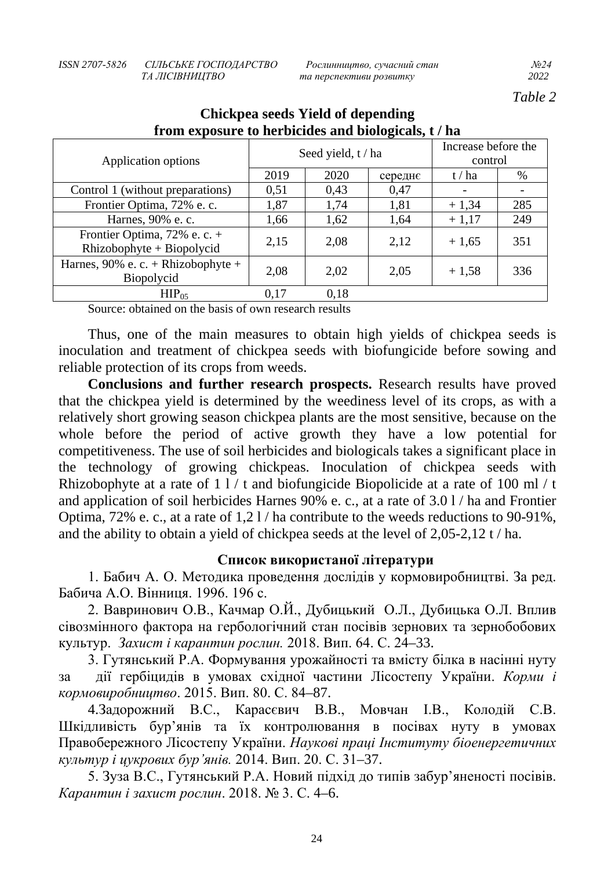*ТА ЛІСІВНИЦТВО та перспективи розвитку 2022*

*Table 2*

| If one exponent v to necessarily while procedurely v $\sim$ nm |                    |      |         |                                |      |  |
|----------------------------------------------------------------|--------------------|------|---------|--------------------------------|------|--|
| Application options                                            | Seed yield, t / ha |      |         | Increase before the<br>control |      |  |
|                                                                | 2019               | 2020 | середнє | t/ha                           | $\%$ |  |
| Control 1 (without preparations)                               | 0,51               | 0,43 | 0,47    | $\overline{\phantom{a}}$       |      |  |
| Frontier Optima, 72% e.c.                                      | 1,87               | 1,74 | 1,81    | $+1,34$                        | 285  |  |
| Harnes, 90% e. c.                                              | 1,66               | 1,62 | 1,64    | $+1,17$                        | 249  |  |
| Frontier Optima, 72% e. c. +<br>$Rhizobophyte + Biopolycid$    | 2,15               | 2,08 | 2,12    | $+1,65$                        | 351  |  |
| Harnes, $90\%$ e. c. + Rhizobophyte +<br>Biopolycid            | 2,08               | 2,02 | 2,05    | $+1,58$                        | 336  |  |
| $HIP_{05}$                                                     | 0,17               | 0.18 |         |                                |      |  |

# **Chickpea seeds Yield of depending from exposure to herbicides and biologicals, t / ha**

Source: obtained on the basis of own research results

Thus, one of the main measures to obtain high yields of chickpea seeds is inoculation and treatment of chickpea seeds with biofungicide before sowing and reliable protection of its crops from weeds.

**Conclusions and further research prospects.** Research results have proved that the chickpea yield is determined by the weediness level of its crops, as with a relatively short growing season chickpea plants are the most sensitive, because on the whole before the period of active growth they have a low potential for competitiveness. The use of soil herbicides and biologicals takes a significant place in the technology of growing chickpeas. Inoculation of chickpea seeds with Rhizobophyte at a rate of  $1 \frac{1}{t}$  t and biofungicide Biopolicide at a rate of 100 ml / t and application of soil herbicides Harnes 90% e. c., at a rate of 3.0 l / ha and Frontier Optima, 72% e. c., at a rate of 1,2 l / ha contribute to the weeds reductions to 90-91%, and the ability to obtain a yield of chickpea seeds at the level of 2,05-2,12 t / ha.

### **Список використаної літератури**

1. Бабич А. О. Методика проведення дослідів у кормовиробництві. За ред. Бабича А.О. Вінниця. 1996. 196 с.

2. Вавринович О.В., Качмар О.Й., Дубицький О.Л., Дубицька О.Л. Вплив сівозмінного фактора на гербологічний стан посівів зернових та зернобобових культур. *Захист і карантин рослин.* 2018. Вип. 64. С. 24–33.

3. Гутянський Р.А. Формування урожайності та вмісту білка в насінні нуту за дії гербіцидів в умовах східної частини Лісостепу України. *Корми і кормовиробництво*. 2015. Вип. 80. С. 84–87.

4.Задорожний В.С., Карасєвич В.В., Мовчан І.В., Колодій С.В. Шкідливість бур'янів та їх контролювання в посівах нуту в умовах Правобережного Лісостепу України. *Наукові праці Інституту біоенергетичних культур і цукрових бур'янів.* 2014. Вип. 20. С. 31–37.

5. Зуза В.С., Гутянський Р.А. Новий підхід до типів забур'яненості посівів. *Карантин і захист рослин*. 2018. № 3. С. 4–6.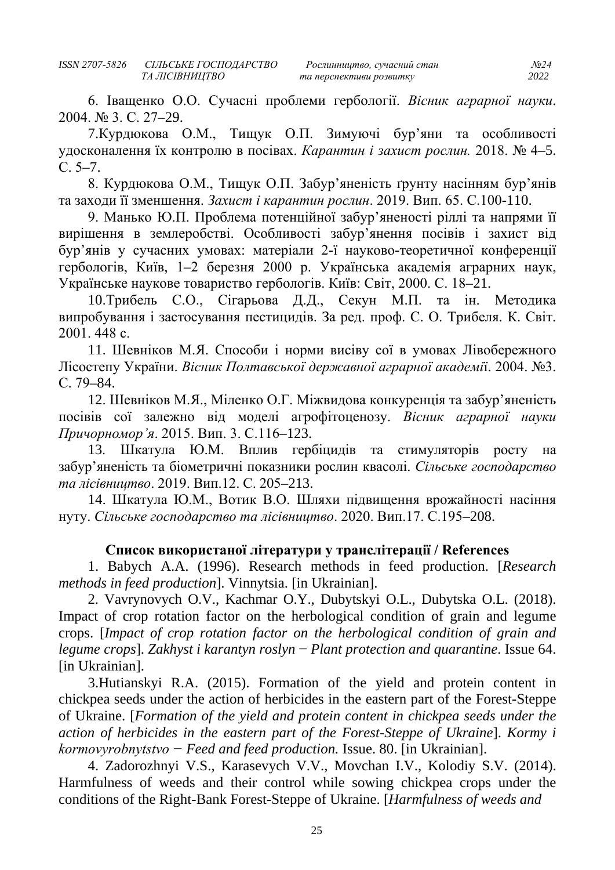6. Іващенко О.О. Сучасні проблеми гербології. *Вісник аграрної науки*. 2004. № 3. С. 27–29.

7.Курдюкова О.М., Тищук О.П. Зимуючі бур'яни та особливості удосконалення їх контролю в посівах. *Карантин і захист рослин.* 2018. № 4–5. С. 5–7.

8. Курдюкова О.М., Тищук О.П. Забур'яненість ґрунту насінням бур'янів та заходи її зменшення. Захист і карантин рослин. 2019. Вип. 65. С.100-110.

9. Манько Ю.П. Проблема потенційної забур'яненості ріллі та напрями її вирішення в землеробстві. Особливості забур'янення посівів і захист від бур'янів у сучасних умовах: матеріали 2-ї науково-теоретичної конференції гербологів, Київ, 1–2 березня 2000 р. Українська академія аграрних наук, Українське наукове товариство гербологів. Київ: Світ, 2000. С. 18–21.

10.Трибель С.О., Сігарьова Д.Д., Секун М.П. та ін. Методика випробування і застосування пестицидів. За ред. проф. С. О. Трибеля. К. Світ. 2001. 448 с.

11. Шевніков М.Я. Способи і норми висіву сої в умовах Лівобережного Лісостепу України. *Вісник Полтавської державної аграрної академі*ї. 2004. №3. С. 79–84.

12. Шевніков М.Я., Міленко О.Г. Міжвидова конкуренція та забур'яненість посівів сої залежно від моделі агрофітоценозу. *Вісник аграрної науки Причорномор'я*. 2015. Вип. 3. С.116–123.

13. Шкатула Ю.М. Вплив гербіцидів та стимуляторів росту на забур'яненість та біометричні показники рослин квасолі. *Сільське господарство та лісівництво*. 2019. Вип.12. С. 205–213.

14. Шкатула Ю.М., Вотик В.О. Шляхи підвищення врожайності насіння нуту. *Сільське господарство та лісівництво*. 2020. Вип.17. С.195–208.

## **Список використаної літератури у транслітерації / References**

1. Babych A.A. (1996). Research methods in feed production. [*Research methods in feed production*]. Vinnytsia. [in Ukrainian].

2. Vavrynovych O.V., Kachmar O.Y., Dubytskyi O.L., Dubytska O.L. (2018). Impact of crop rotation factor on the herbological condition of grain and legume crops. [*Impact of crop rotation factor on the herbological condition of grain and legume crops*]. *Zakhyst i karantyn roslyn* − *Plant protection and quarantine*. Issue 64. [in Ukrainian].

3.Hutianskyi R.A. (2015). Formation of the yield and protein content in chickpea seeds under the action of herbicides in the eastern part of the Forest-Steppe of Ukraine. [*Formation of the yield and protein content in chickpea seeds under the action of herbicides in the eastern part of the Forest-Steppe of Ukraine*]. *Kormy i kormovyrobnytstvo − Feed and feed production.* Issue. 80. [in Ukrainian].

4. Zadorozhnyi V.S., Karasevych V.V., Movchan I.V., Kolodiy S.V. (2014). Harmfulness of weeds and their control while sowing chickpea crops under the conditions of the Right-Bank Forest-Steppe of Ukraine. [*Harmfulness of weeds and*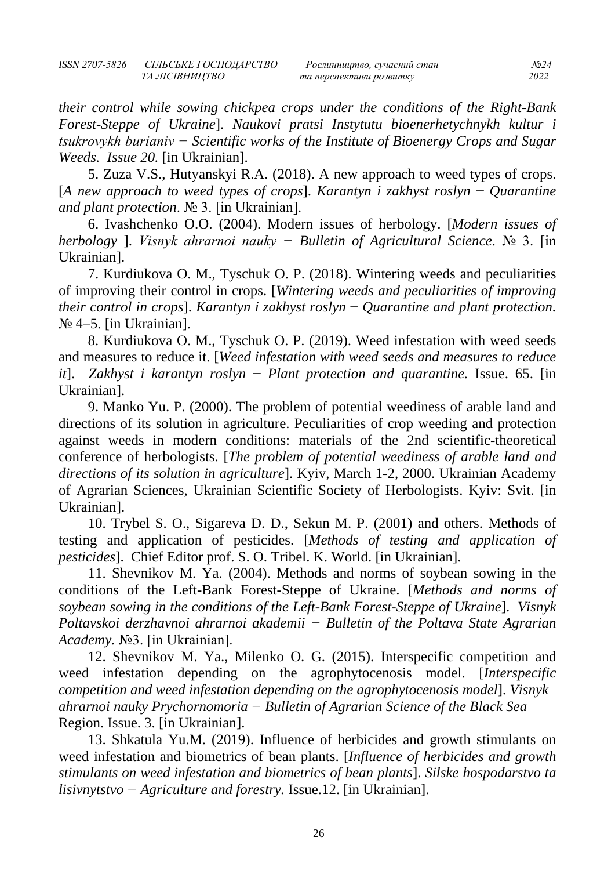*та перспективи розвитку* 

*their control while sowing chickpea crops under the conditions of the Right-Bank Forest-Steppe of Ukraine*]. *Naukovi pratsi Instytutu bioenerhetychnykh kultur i tsukrovykh burianiv − Scientific works of the Institute of Bioenergy Crops and Sugar Weeds. Issue 20.* [in Ukrainian].

5. Zuza V.S., Hutyanskyi R.A. (2018). A new approach to weed types of crops. [*A new approach to weed types of crops*]. *Karantyn i zakhyst roslyn* − *Quarantine and plant protection*. № 3. [in Ukrainian].

6. Ivashchenko O.O. (2004). Modern issues of herbology. [*Modern issues of herbology* ]. *Visnyk ahrarnoi nauky − Bulletin of Agricultural Science*. № 3. [in Ukrainian].

7. Kurdiukova O. M., Tyschuk O. P. (2018). Wintering weeds and peculiarities of improving their control in crops. [*Wintering weeds and peculiarities of improving their control in crops*]. *Karantyn i zakhyst roslyn* − *Quarantine and plant protection.* № 4–5. [in Ukrainian].

8. Kurdiukova O. M., Tyschuk O. P. (2019). Weed infestation with weed seeds and measures to reduce it. [*Weed infestation with weed seeds and measures to reduce it*]. *Zakhyst i karantyn roslyn* − *Plant protection and quarantine.* Issue. 65. [in Ukrainian].

9. Manko Yu. P. (2000). The problem of potential weediness of arable land and directions of its solution in agriculture. Peculiarities of crop weeding and protection against weeds in modern conditions: materials of the 2nd scientific-theoretical conference of herbologists. [*The problem of potential weediness of arable land and directions of its solution in agriculture*]. Kyiv, March 1-2, 2000. Ukrainian Academy of Agrarian Sciences, Ukrainian Scientific Society of Herbologists. Kyiv: Svit. [in Ukrainian].

10. Trybel S. O., Sigareva D. D., Sekun M. P. (2001) and others. Methods of testing and application of pesticides. [*Methods of testing and application of pesticides*]. Chief Editor prof. S. O. Tribel. K. World. [in Ukrainian].

11. Shevnikov M. Ya. (2004). Methods and norms of soybean sowing in the conditions of the Left-Bank Forest-Steppe of Ukraine. [*Methods and norms of soybean sowing in the conditions of the Left-Bank Forest-Steppe of Ukraine*]. *Visnyk Poltavskoi derzhavnoi ahrarnoi akademii − Bulletin of the Poltava State Agrarian Academy.* №3. [in Ukrainian].

12. Shevnikov M. Ya., Milenko O. G. (2015). Interspecific competition and weed infestation depending on the agrophytocenosis model. [*Interspecific competition and weed infestation depending on the agrophytocenosis model*]. *Visnyk ahrarnoi nauky Prychornomoria − Bulletin of Agrarian Science of the Black Sea* Region. Issue. 3. [in Ukrainian].

13. Shkatula Yu.M. (2019). Influence of herbicides and growth stimulants on weed infestation and biometrics of bean plants. [*Influence of herbicides and growth stimulants on weed infestation and biometrics of bean plants*]. *Silske hospodarstvo ta lisivnytstvo − Agriculture and forestry.* Issue.12. [in Ukrainian].